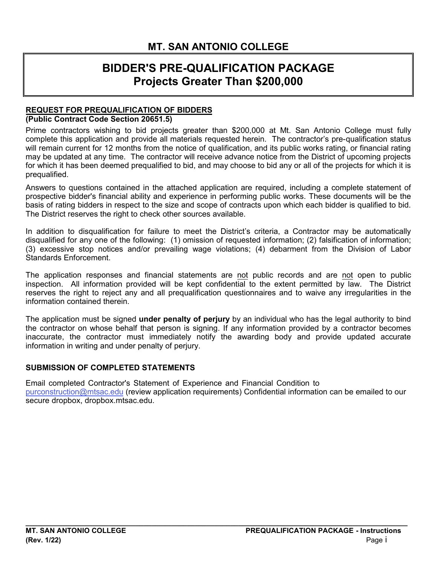# **BIDDER'S PRE-QUALIFICATION PACKAGE Projects Greater Than \$200,000**

#### **REQUEST FOR PREQUALIFICATION OF BIDDERS (Public Contract Code Section 20651.5)**

 Prime contractors wishing to bid projects greater than \$200,000 at Mt. San Antonio College must fully will remain current for 12 months from the notice of qualification, and its public works rating, or financial rating may be updated at any time. The contractor will receive advance notice from the District of upcoming projects for which it has been deemed prequalified to bid, and may choose to bid any or all of the projects for which it is complete this application and provide all materials requested herein. The contractor's pre-qualification status prequalified.

 basis of rating bidders in respect to the size and scope of contracts upon which each bidder is qualified to bid. The District reserves the right to check other sources available. Answers to questions contained in the attached application are required, including a complete statement of prospective bidder's financial ability and experience in performing public works. These documents will be the

In addition to disqualification for failure to meet the District's criteria, a Contractor may be automatically disqualified for any one of the following: (1) omission of requested information; (2) falsification of information; (3) excessive stop notices and/or prevailing wage violations; (4) debarment from the Division of Labor Standards Enforcement.

 inspection. All information provided will be kept confidential to the extent permitted by law. The District The application responses and financial statements are not public records and are not open to public reserves the right to reject any and all prequalification questionnaires and to waive any irregularities in the information contained therein.

The application must be signed **under penalty of perjury** by an individual who has the legal authority to bind the contractor on whose behalf that person is signing. If any information provided by a contractor becomes inaccurate, the contractor must immediately notify the awarding body and provide updated accurate information in writing and under penalty of perjury.

#### **SUBMISSION OF COMPLETED STATEMENTS**

Email completed Contractor's Statement of Experience and Financial Condition to purconstruction@mtsac.edu (review application requirements) Confidential information can be emailed to our secure dropbox, [dropbox.mtsac.edu](https://dropbox.mtsac.edu/).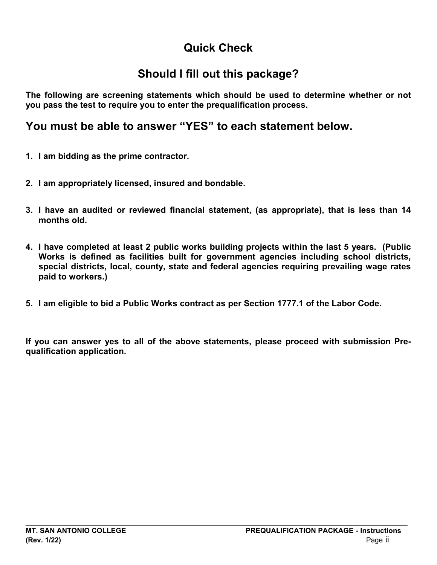# **Quick Check**

# **Should I fill out this package?**

**The following are screening statements which should be used to determine whether or not you pass the test to require you to enter the prequalification process.** 

# **You must be able to answer "YES" to each statement below.**

- **1. I am bidding as the prime contractor.**
- **2. I am appropriately licensed, insured and bondable.**
- **3. I have an audited or reviewed financial statement, (as appropriate), that is less than 14 months old.**
- **4. I have completed at least 2 public works building projects within the last 5 years. (Public Works is defined as facilities built for government agencies including school districts, special districts, local, county, state and federal agencies requiring prevailing wage rates paid to workers.)**
- **5. I am eligible to bid a Public Works contract as per Section 1777.1 of the Labor Code.**

 **If you can answer yes to all of the above statements, please proceed with submission Prequalification application.**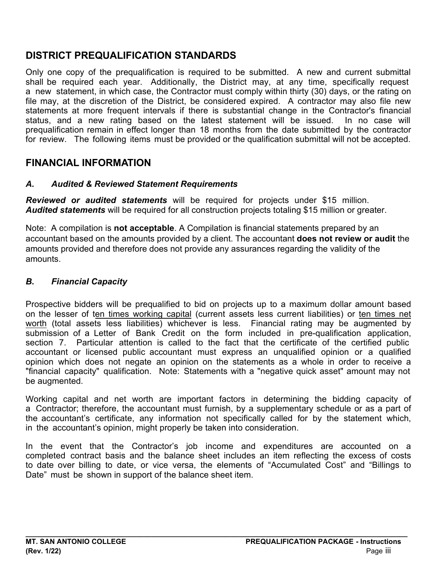# **DISTRICT PREQUALIFICATION STANDARDS**

 Only one copy of the prequalification is required to be submitted. A new and current submittal shall be required each year. Additionally, the District may, at any time, specifically request file may, at the discretion of the District, be considered expired. A contractor may also file new statements at more frequent intervals if there is substantial change in the Contractor's financial status, and a new rating based on the latest statement will be issued. In no case will a new statement, in which case, the Contractor must comply within thirty (30) days, or the rating on prequalification remain in effect longer than 18 months from the date submitted by the contractor for review. The following items must be provided or the qualification submittal will not be accepted.

### **FINANCIAL INFORMATION**

#### *A. Audited & Reviewed Statement Requirements*

*Reviewed or audited statements* will be required for projects under \$15 million. *Audited statements* will be required for all construction projects totaling \$15 million or greater.

 Note: A compilation is **not acceptable**. A Compilation is financial statements prepared by an accountant based on the amounts provided by a client. The accountant **does not review or audit** the amounts provided and therefore does not provide any assurances regarding the validity of the amounts.

#### *B. Financial Capacity*

on the lesser of t<u>en times working capital</u> (current assets less current liabilities) or ten times net <u>worth</u> (total assets less liabilities) whichever is less. Financial rating may be augmented by submission of a Letter of Bank Credit on the form included in pre-qualification application, section 7. Particular attention is called to the fact that the certificate of the certified public Prospective bidders will be prequalified to bid on projects up to a maximum dollar amount based accountant or licensed public accountant must express an unqualified opinion or a qualified opinion which does not negate an opinion on the statements as a whole in order to receive a "financial capacity" qualification. Note: Statements with a "negative quick asset" amount may not be augmented.

 Working capital and net worth are important factors in determining the bidding capacity of the accountant's certificate, any information not specifically called for by the statement which, a Contractor; therefore, the accountant must furnish, by a supplementary schedule or as a part of in the accountant's opinion, might properly be taken into consideration.

 to date over billing to date, or vice versa, the elements of "Accumulated Cost" and "Billings to In the event that the Contractor's job income and expenditures are accounted on a completed contract basis and the balance sheet includes an item reflecting the excess of costs Date" must be shown in support of the balance sheet item.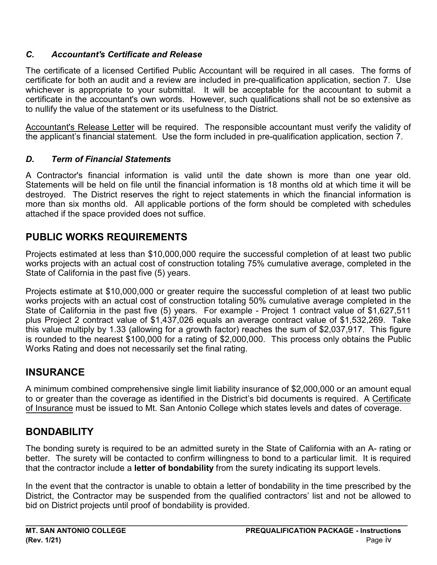### *C. Accountant's Certificate and Release*

 The certificate of a licensed Certified Public Accountant will be required in all cases. The forms of certificate for both an audit and a review are included in pre-qualification application, section 7. Use whichever is appropriate to your submittal. It will be acceptable for the accountant to submit a certificate in the accountant's own words. However, such qualifications shall not be so extensive as to nullify the value of the statement or its usefulness to the District.

 the applicant's financial statement. Use the form included in pre-qualification application, section 7. Accountant's Release Letter will be required. The responsible accountant must verify the validity of

### *D. Term of Financial Statements*

 Statements will be held on file until the financial information is 18 months old at which time it will be destroyed. The District reserves the right to reject statements in which the financial information is more than six months old. All applicable portions of the form should be completed with schedules A Contractor's financial information is valid until the date shown is more than one year old. attached if the space provided does not suffice.

## **PUBLIC WORKS REQUIREMENTS**

 State of California in the past five (5) years. Projects estimated at less than \$10,000,000 require the successful completion of at least two public works projects with an actual cost of construction totaling 75% cumulative average, completed in the

 this value multiply by 1.33 (allowing for a growth factor) reaches the sum of \$2,037,917. This figure Projects estimate at \$10,000,000 or greater require the successful completion of at least two public works projects with an actual cost of construction totaling 50% cumulative average completed in the State of California in the past five (5) years. For example - Project 1 contract value of \$1,627,511 plus Project 2 contract value of \$1,437,026 equals an average contract value of \$1,532,269. Take is rounded to the nearest \$100,000 for a rating of \$2,000,000. This process only obtains the Public Works Rating and does not necessarily set the final rating.

## **INSURANCE**

to or greater than the coverage as identified in the District's bid documents is required. A <u>Certificate</u> A minimum combined comprehensive single limit liability insurance of \$2,000,000 or an amount equal of Insurance must be issued to Mt. San Antonio College which states levels and dates of coverage.

## **BONDABILITY**

The bonding surety is required to be an admitted surety in the State of California with an A- rating or better. The surety will be contacted to confirm willingness to bond to a particular limit. It is required that the contractor include a **letter of bondability** from the surety indicating its support levels.

 In the event that the contractor is unable to obtain a letter of bondability in the time prescribed by the District, the Contractor may be suspended from the qualified contractors' list and not be allowed to bid on District projects until proof of bondability is provided.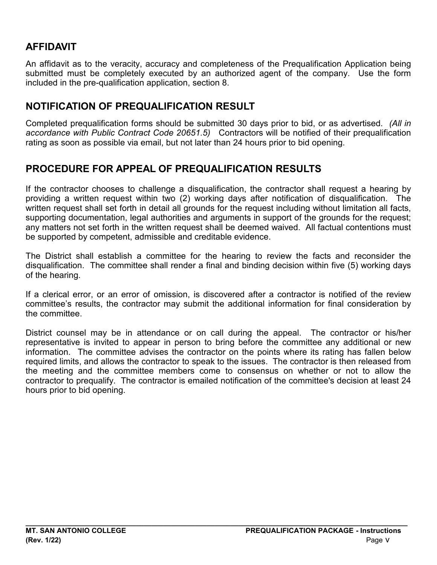### **AFFIDAVIT**

An affidavit as to the veracity, accuracy and completeness of the Prequalification Application being submitted must be completely executed by an authorized agent of the company. Use the form included in the pre-qualification application, section 8.

### **NOTIFICATION OF PREQUALIFICATION RESULT**

 Completed prequalification forms should be submitted 30 days prior to bid, or as advertised. *(All in*  rating as soon as possible via email, but not later than 24 hours prior to bid opening. *accordance with Public Contract Code 20651.5)* Contractors will be notified of their prequalification

### **PROCEDURE FOR APPEAL OF PREQUALIFICATION RESULTS**

 written request shall set forth in detail all grounds for the request including without limitation all facts, supporting documentation, legal authorities and arguments in support of the grounds for the request; any matters not set forth in the written request shall be deemed waived. All factual contentions must be supported by competent, admissible and creditable evidence. If the contractor chooses to challenge a disqualification, the contractor shall request a hearing by providing a written request within two (2) working days after notification of disqualification. The

 disqualification. The committee shall render a final and binding decision within five (5) working days The District shall establish a committee for the hearing to review the facts and reconsider the of the hearing.

 If a clerical error, or an error of omission, is discovered after a contractor is notified of the review committee's results, the contractor may submit the additional information for final consideration by the committee.

 District counsel may be in attendance or on call during the appeal. The contractor or his/her required limits, and allows the contractor to speak to the issues. The contractor is then released from representative is invited to appear in person to bring before the committee any additional or new information. The committee advises the contractor on the points where its rating has fallen below the meeting and the committee members come to consensus on whether or not to allow the contractor to prequalify. The contractor is emailed notification of the committee's decision at least 24 hours prior to bid opening.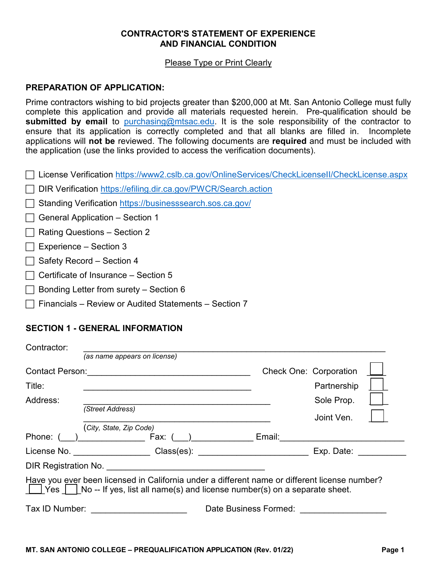#### **CONTRACTOR'S STATEMENT OF EXPERIENCE AND FINANCIAL CONDITION**

#### Please Type or Print Clearly

#### **PREPARATION OF APPLICATION:**

 Prime contractors wishing to bid projects greater than \$200,000 at Mt. San Antonio College must fully complete this application and provide all materials requested herein. Pre-qualification should be **submitted by email** to [purchasing@mtsac.edu.](mailto:purchasing@mtsac.edu) It is the sole responsibility of the contractor to ensure that its application is correctly completed and that all blanks are filled in. Incomplete applications will **not be** reviewed. The following documents are **required** and must be included with the application (use the links provided to access the verification documents).

License Verification<https://www2.cslb.ca.gov/OnlineServices/CheckLicenseII/CheckLicense.aspx>

□ DIR Verification https://efiling.dir.ca.gov/PWCR/Search.action

| Standing Verification https://businesssearch.sos.ca.gov/ |  |
|----------------------------------------------------------|--|
|----------------------------------------------------------|--|

- $\Box$  General Application Section 1
- $\Box$  Rating Questions Section 2
- $\Box$  Experience Section 3
- $\Box$  Safety Record Section 4
- $\Box$  Certificate of Insurance Section 5
- $\Box$  Bonding Letter from surety Section 6
- $\Box$  Financials Review or Audited Statements Section 7

#### **SECTION 1 - GENERAL INFORMATION**

| Contractor:                             |                                                                                                                                                                                           |                               |             |
|-----------------------------------------|-------------------------------------------------------------------------------------------------------------------------------------------------------------------------------------------|-------------------------------|-------------|
|                                         | (as name appears on license)                                                                                                                                                              |                               |             |
| <b>Contact Person:</b>                  |                                                                                                                                                                                           | <b>Check One: Corporation</b> |             |
| Title:                                  |                                                                                                                                                                                           |                               | Partnership |
| Address:                                |                                                                                                                                                                                           |                               | Sole Prop.  |
|                                         | (Street Address)                                                                                                                                                                          |                               | Joint Ven.  |
|                                         | (City, State, Zip Code)                                                                                                                                                                   |                               |             |
|                                         | Phone: ( ) Fax: ( )                                                                                                                                                                       | Email:                        |             |
|                                         |                                                                                                                                                                                           |                               | Exp. Date:  |
|                                         |                                                                                                                                                                                           |                               |             |
|                                         | Have you ever been licensed in California under a different name or different license number?<br>  Yes   $\,$   No -- If yes, list all name(s) and license number(s) on a separate sheet. |                               |             |
| Tax ID Number:<br>Date Business Formed: |                                                                                                                                                                                           |                               |             |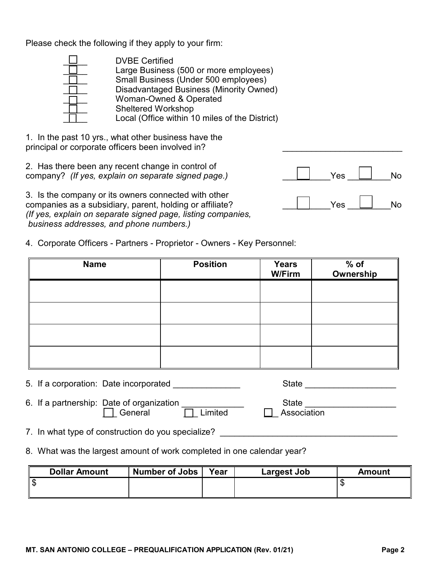Please check the following if they apply to your firm:

| <b>DVBE Certified</b>                          |
|------------------------------------------------|
| Large Business (500 or more employees)         |
| Small Business (Under 500 employees)           |
| Disadvantaged Business (Minority Owned)        |
| Woman-Owned & Operated                         |
| <b>Sheltered Workshop</b>                      |
| Local (Office within 10 miles of the District) |

1. In the past 10 yrs., what other business have the principal or corporate officers been involved in?

2. Has there been any recent change in control of company? *(If yes, explain on separate signed page.)*  $\Box$  Yes  $\Box$  No

3. Is the company or its owners connected with other companies as a subsidiary, parent, holding or affiliate?  $\Box$  Yes  $\Box$  No *(If yes, explain on separate signed page, listing companies, business addresses, and phone numbers.)* 

4. Corporate Officers - Partners - Proprietor - Owners - Key Personnel:

| <b>Name</b> | <b>Position</b> | <b>Years</b><br><b>W/Firm</b> | $%$ of<br>Ownership |
|-------------|-----------------|-------------------------------|---------------------|
|             |                 |                               |                     |
|             |                 |                               |                     |
|             |                 |                               |                     |
|             |                 |                               |                     |
| $ -$        |                 |                               |                     |

- 5. If a corporation: Date incorporated entitled and state entitled state the state entitled and state the state of the state of the state of the state of the state of the state of the state of the state of the state of the
- 7. In what type of construction do you specialize? \_\_\_\_\_\_\_\_\_\_\_\_\_\_\_\_\_\_\_\_\_\_\_\_\_\_\_\_\_
- 8. What was the largest amount of work completed in one calendar year?

| <b>Dollar Amount</b> | Number of Jobs | Year | Largest Job | Amount |
|----------------------|----------------|------|-------------|--------|
| \$                   |                |      |             |        |
|                      |                |      |             |        |



6. If a partnership: Date of organization  $\Box$  State  $\Box$  State  $\Box$  $\Box$  Association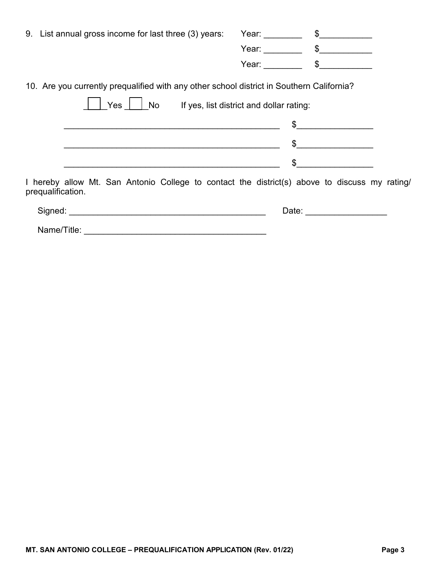| 9. List annual gross income for last three (3) years:                                                              | Year: _______________ \$________ |                |
|--------------------------------------------------------------------------------------------------------------------|----------------------------------|----------------|
|                                                                                                                    |                                  |                |
|                                                                                                                    |                                  | Year: \$       |
| 10. Are you currently prequalified with any other school district in Southern California?                          |                                  |                |
| Yes     No If yes, list district and dollar rating:                                                                |                                  |                |
|                                                                                                                    | $\mathfrak{S}$                   |                |
|                                                                                                                    |                                  | $\mathfrak{S}$ |
|                                                                                                                    |                                  | $\mathfrak s$  |
| I hereby allow Mt. San Antonio College to contact the district(s) above to discuss my rating/<br>prequalification. |                                  |                |
|                                                                                                                    | Date:                            |                |

| Name/Title: |  |
|-------------|--|
|             |  |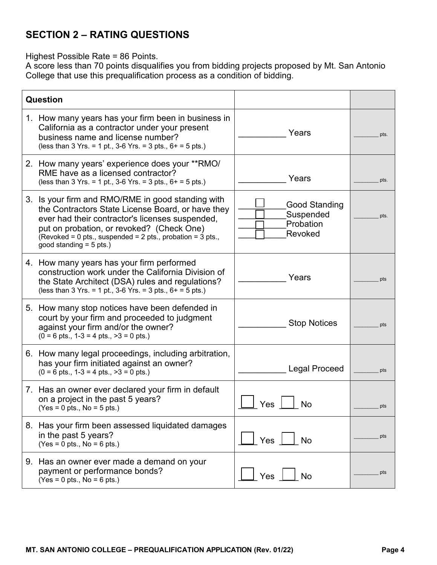# **SECTION 2 – RATING QUESTIONS**

Highest Possible Rate = 86 Points.

A score less than 70 points disqualifies you from bidding projects proposed by Mt. San Antonio College that use this prequalification process as a condition of bidding.

| Question                                                                                                                                                                                                                                                                                          |                                                    |      |
|---------------------------------------------------------------------------------------------------------------------------------------------------------------------------------------------------------------------------------------------------------------------------------------------------|----------------------------------------------------|------|
| 1. How many years has your firm been in business in<br>California as a contractor under your present<br>business name and license number?<br>(less than 3 Yrs. = 1 pt., 3-6 Yrs. = 3 pts., $6+$ = 5 pts.)                                                                                         | Years                                              | pts. |
| 2. How many years' experience does your **RMO/<br>RME have as a licensed contractor?<br>(less than 3 Yrs. = 1 pt., 3-6 Yrs. = 3 pts., $6+$ = 5 pts.)                                                                                                                                              | Years                                              | pts. |
| 3. Is your firm and RMO/RME in good standing with<br>the Contractors State License Board, or have they<br>ever had their contractor's licenses suspended,<br>put on probation, or revoked? (Check One)<br>(Revoked = 0 pts., suspended = 2 pts., probation = 3 pts.,<br>good standing $= 5$ pts.) | Good Standing<br>Suspended<br>Probation<br>Revoked | pts. |
| 4. How many years has your firm performed<br>construction work under the California Division of<br>the State Architect (DSA) rules and regulations?<br>(less than 3 Yrs. = 1 pt., 3-6 Yrs. = 3 pts., $6+$ = 5 pts.)                                                                               | Years                                              | pts  |
| 5. How many stop notices have been defended in<br>court by your firm and proceeded to judgment<br>against your firm and/or the owner?<br>$(0 = 6$ pts., $1-3 = 4$ pts., $>3 = 0$ pts.)                                                                                                            | <b>Stop Notices</b>                                | pts  |
| 6. How many legal proceedings, including arbitration,<br>has your firm initiated against an owner?<br>$(0 = 6$ pts., $1-3 = 4$ pts., $>3 = 0$ pts.)                                                                                                                                               | <b>Legal Proceed</b>                               | pts  |
| 7. Has an owner ever declared your firm in default<br>on a project in the past 5 years?<br>$(Yes = 0 pts., No = 5 pts.)$                                                                                                                                                                          | No<br>Yes                                          | pts  |
| 8. Has your firm been assessed liquidated damages<br>in the past 5 years?<br>$(Yes = 0 pts., No = 6 pts.)$                                                                                                                                                                                        | Yes<br><b>No</b>                                   | pts  |
| 9. Has an owner ever made a demand on your<br>payment or performance bonds?<br>$(Yes = 0 pts., No = 6 pts.)$                                                                                                                                                                                      | Yes<br>No                                          | pts  |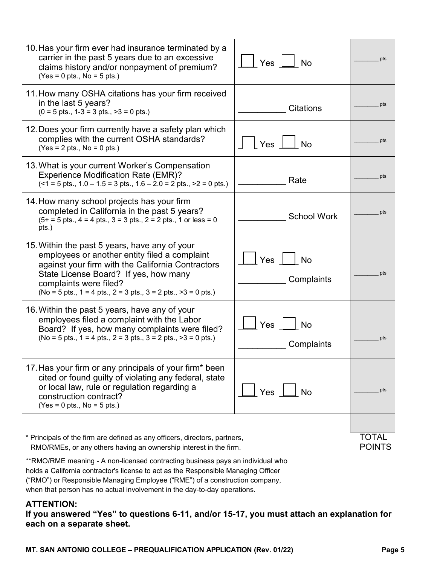| 10. Has your firm ever had insurance terminated by a<br>carrier in the past 5 years due to an excessive<br>claims history and/or nonpayment of premium?<br>$(Yes = 0 pts., No = 5 pts.)$                                                                                                         | Yes $\Box$<br>$\overline{\phantom{a}}$ No | pts                           |
|--------------------------------------------------------------------------------------------------------------------------------------------------------------------------------------------------------------------------------------------------------------------------------------------------|-------------------------------------------|-------------------------------|
| 11. How many OSHA citations has your firm received<br>in the last 5 years?<br>$(0 = 5 \text{ pts.}, 1 - 3 = 3 \text{ pts.}, >3 = 0 \text{ pts.})$                                                                                                                                                | <b>Citations</b>                          | pts                           |
| 12. Does your firm currently have a safety plan which<br>complies with the current OSHA standards?<br>$(Yes = 2 pts., No = 0 pts.)$                                                                                                                                                              | Yes<br><b>No</b>                          | pts                           |
| 13. What is your current Worker's Compensation<br><b>Experience Modification Rate (EMR)?</b><br>$($ < 1 = 5 pts., 1.0 – 1.5 = 3 pts., 1.6 – 2.0 = 2 pts., >2 = 0 pts.)                                                                                                                           | Rate                                      | pts                           |
| 14. How many school projects has your firm<br>completed in California in the past 5 years?<br>$(5+ = 5 \text{ pts.}, 4 = 4 \text{ pts.}, 3 = 3 \text{ pts.}, 2 = 2 \text{ pts.}, 1 \text{ or less } = 0$<br>pts.)                                                                                | <b>School Work</b>                        | pts                           |
| 15. Within the past 5 years, have any of your<br>employees or another entity filed a complaint<br>against your firm with the California Contractors<br>State License Board? If yes, how many<br>complaints were filed?<br>(No = 5 pts., $1 = 4$ pts., $2 = 3$ pts., $3 = 2$ pts., $>3 = 0$ pts.) | Yes $\vert$ $\vert$ No<br>Complaints      | pts                           |
| 16. Within the past 5 years, have any of your<br>employees filed a complaint with the Labor<br>Board? If yes, how many complaints were filed?<br>(No = 5 pts., $1 = 4$ pts., $2 = 3$ pts., $3 = 2$ pts., $>3 = 0$ pts.)                                                                          | Yes<br>No<br>Complaints                   | pts                           |
| 17. Has your firm or any principals of your firm* been<br>cited or found guilty of violating any federal, state<br>or local law, rule or regulation regarding a<br>construction contract?<br>$(Yes = 0 pts., No = 5 pts.)$                                                                       | Yes<br>l No                               | pts                           |
| * Principals of the firm are defined as any officers, directors, partners,<br>RMO/RMEs, or any others having an ownership interest in the firm.                                                                                                                                                  |                                           | <b>TOTAL</b><br><b>POINTS</b> |

\*\*RMO/RME meaning - A non-licensed contracting business pays an individual who holds a California contractor's license to act as the Responsible Managing Officer ("RMO") or Responsible Managing Employee ("RME") of a construction company, when that person has no actual involvement in the day-to-day operations.

#### **ATTENTION:**

**If you answered "Yes" to questions 6-11, and/or 15-17, you must attach an explanation for each on a separate sheet.**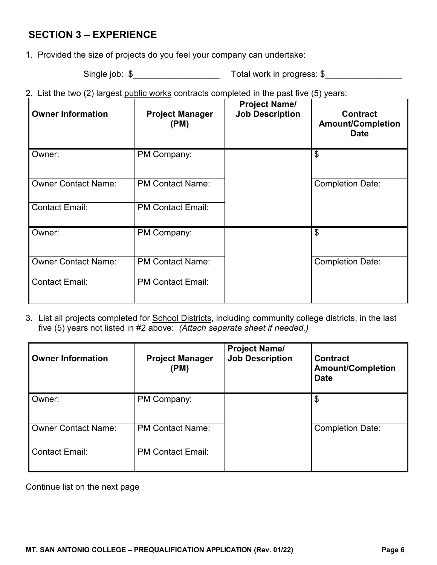### **SECTION 3 – EXPERIENCE**

1. Provided the size of projects do you feel your company can undertake:

Single job:  $\frac{1}{2}$   $\frac{1}{2}$   $\frac{1}{2}$   $\frac{1}{2}$   $\frac{1}{2}$   $\frac{1}{2}$   $\frac{1}{2}$   $\frac{1}{2}$   $\frac{1}{2}$   $\frac{1}{2}$   $\frac{1}{2}$   $\frac{1}{2}$   $\frac{1}{2}$   $\frac{1}{2}$   $\frac{1}{2}$   $\frac{1}{2}$   $\frac{1}{2}$   $\frac{1}{2}$   $\frac{1}{2}$   $\frac{1}{2}$   $\frac{1}{2}$ 

2. List the two (2) largest public works contracts completed in the past five (5) years:

| <b>Owner Information</b>   | <b>Project Manager</b><br>(PM) | <b>Project Name/</b><br><b>Job Description</b> | <b>Contract</b><br><b>Amount/Completion</b><br><b>Date</b> |
|----------------------------|--------------------------------|------------------------------------------------|------------------------------------------------------------|
| Owner:                     | PM Company:                    |                                                | \$                                                         |
| <b>Owner Contact Name:</b> | <b>PM Contact Name:</b>        |                                                | <b>Completion Date:</b>                                    |
| <b>Contact Email:</b>      | <b>PM Contact Email:</b>       |                                                |                                                            |
| Owner:                     | PM Company:                    |                                                | $\boldsymbol{\mathsf{S}}$                                  |
| <b>Owner Contact Name:</b> | <b>PM Contact Name:</b>        |                                                | <b>Completion Date:</b>                                    |
| <b>Contact Email:</b>      | <b>PM Contact Email:</b>       |                                                |                                                            |

 five (5) years not listed in #2 above: *(Attach separate sheet if needed.)*  3. List all projects completed for School Districts, including community college districts, in the last

| <b>Owner Information</b>   | <b>Project Manager</b><br>(PM) | <b>Project Name/</b><br><b>Job Description</b> | <b>Contract</b><br><b>Amount/Completion</b><br><b>Date</b> |
|----------------------------|--------------------------------|------------------------------------------------|------------------------------------------------------------|
| Owner:                     | PM Company:                    |                                                | $\boldsymbol{\mathsf{\$}}$                                 |
| <b>Owner Contact Name:</b> | <b>PM Contact Name:</b>        |                                                | <b>Completion Date:</b>                                    |
| <b>Contact Email:</b>      | <b>PM Contact Email:</b>       |                                                |                                                            |

Continue list on the next page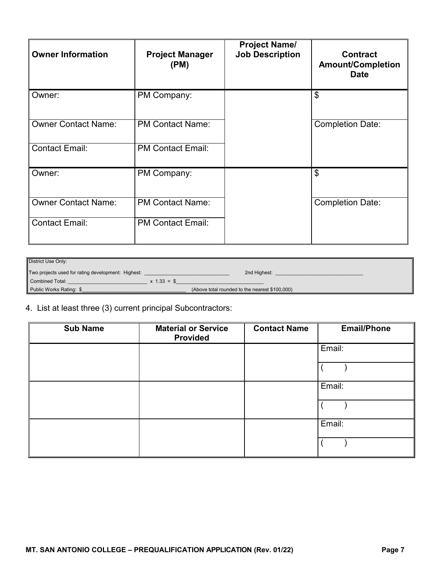| <b>Owner Information</b>   | <b>Project Manager</b><br>(PM) | <b>Project Name/</b><br><b>Job Description</b> | <b>Contract</b><br><b>Amount/Completion</b><br><b>Date</b> |
|----------------------------|--------------------------------|------------------------------------------------|------------------------------------------------------------|
| Owner:                     | PM Company:                    |                                                | \$                                                         |
| <b>Owner Contact Name:</b> | <b>PM Contact Name:</b>        |                                                | <b>Completion Date:</b>                                    |
| <b>Contact Email:</b>      | <b>PM Contact Email:</b>       |                                                |                                                            |
| Owner:                     | PM Company:                    |                                                | \$                                                         |
| <b>Owner Contact Name:</b> | <b>PM Contact Name:</b>        |                                                | <b>Completion Date:</b>                                    |
| <b>Contact Email:</b>      | <b>PM Contact Email:</b>       |                                                |                                                            |

| District Use Only:                                 |                                                |
|----------------------------------------------------|------------------------------------------------|
| Two projects used for rating development: Highest: | 2nd Highest:                                   |
| Combined Total:<br>$x 1.33 = $$                    |                                                |
| Public Works Rating: \$                            | (Above total rounded to the nearest \$100,000) |

### 4. List at least three (3) current principal Subcontractors:

| <b>Sub Name</b> | <b>Material or Service</b><br><b>Provided</b> | <b>Contact Name</b> | <b>Email/Phone</b> |
|-----------------|-----------------------------------------------|---------------------|--------------------|
|                 |                                               |                     | Email:             |
|                 |                                               |                     |                    |
|                 |                                               |                     | Email:             |
|                 |                                               |                     |                    |
|                 |                                               |                     | Email:             |
|                 |                                               |                     |                    |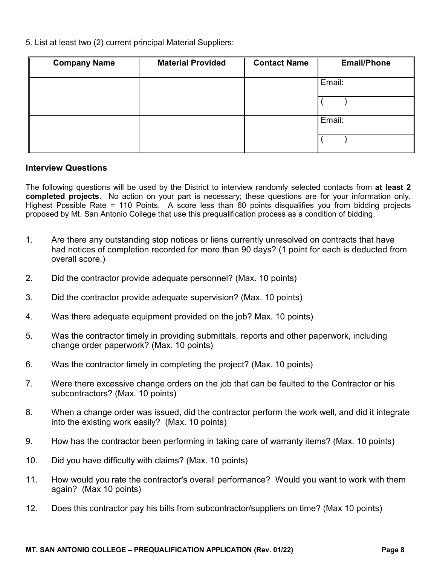5. List at least two (2) current principal Material Suppliers:

| <b>Company Name</b> | <b>Material Provided</b> | <b>Contact Name</b> | <b>Email/Phone</b> |
|---------------------|--------------------------|---------------------|--------------------|
|                     |                          |                     | Email:             |
|                     |                          |                     |                    |
|                     |                          |                     | Email:             |
|                     |                          |                     |                    |

#### **Interview Questions**

The following questions will be used by the District to interview randomly selected contacts from **at least 2 completed projects**. No action on your part is necessary; these questions are for your information only. Highest Possible Rate = 110 Points. A score less than 60 points disqualifies you from bidding projects proposed by Mt. San Antonio College that use this prequalification process as a condition of bidding.

- 1. Are there any outstanding stop notices or liens currently unresolved on contracts that have had notices of completion recorded for more than 90 days? (1 point for each is deducted from overall score.)
- 2. Did the contractor provide adequate personnel? (Max. 10 points)
- 3. Did the contractor provide adequate supervision? (Max. 10 points)
- 4. Was there adequate equipment provided on the job? Max. 10 points)
- 5. Was the contractor timely in providing submittals, reports and other paperwork, including change order paperwork? (Max. 10 points)
- 6. Was the contractor timely in completing the project? (Max. 10 points)
- 7. Were there excessive change orders on the job that can be faulted to the Contractor or his subcontractors? (Max. 10 points)
- 8. When a change order was issued, did the contractor perform the work well, and did it integrate into the existing work easily? (Max. 10 points)
- 9. How has the contractor been performing in taking care of warranty items? (Max. 10 points)
- 10. Did you have difficulty with claims? (Max. 10 points)
- 11. How would you rate the contractor's overall performance? Would you want to work with them again? (Max 10 points)
- 12. Does this contractor pay his bills from subcontractor/suppliers on time? (Max 10 points)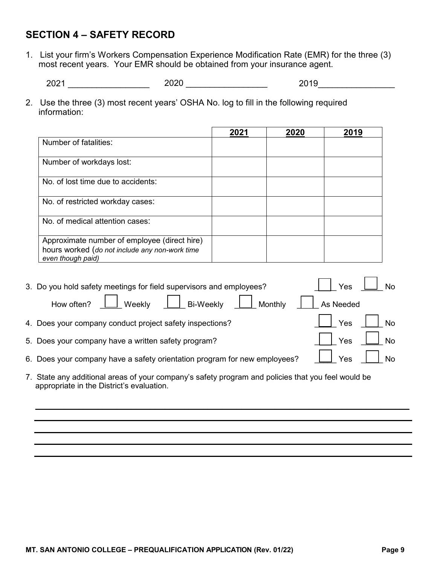## **SECTION 4 – SAFETY RECORD**

1. List your firm's Workers Compensation Experience Modification Rate (EMR) for the three (3) most recent years. Your EMR should be obtained from your insurance agent.

2021 \_\_\_\_\_\_\_\_\_\_\_\_\_\_\_\_\_ 2020 \_\_\_\_\_\_\_\_\_\_\_\_\_\_\_\_\_ 2019\_\_\_\_\_\_\_\_\_\_\_\_\_\_\_\_

2. Use the three (3) most recent years' OSHA No. log to fill in the following required information:

|                                                                                                                     | 2021 | 2020 | 2019 |
|---------------------------------------------------------------------------------------------------------------------|------|------|------|
| Number of fatalities:                                                                                               |      |      |      |
| Number of workdays lost:                                                                                            |      |      |      |
| No. of lost time due to accidents:                                                                                  |      |      |      |
| No. of restricted workday cases:                                                                                    |      |      |      |
| No. of medical attention cases:                                                                                     |      |      |      |
| Approximate number of employee (direct hire)<br>hours worked (do not include any non-work time<br>even though paid) |      |      |      |

| 3. Do you hold safety meetings for field supervisors and employees?                                                                             | Yes              |  |
|-------------------------------------------------------------------------------------------------------------------------------------------------|------------------|--|
| How often? $\Box$ Weekly $\Box$ Bi-Weekly<br>  Monthly                                                                                          | As Needed        |  |
| 4. Does your company conduct project safety inspections?                                                                                        | <b>No</b><br>Yes |  |
| 5. Does your company have a written safety program?                                                                                             | <b>No</b><br>Yes |  |
| 6. Does your company have a safety orientation program for new employees?                                                                       | Yes<br><b>No</b> |  |
| 7. State any additional areas of your company's safety program and policies that you feel would be<br>appropriate in the District's evaluation. |                  |  |
|                                                                                                                                                 |                  |  |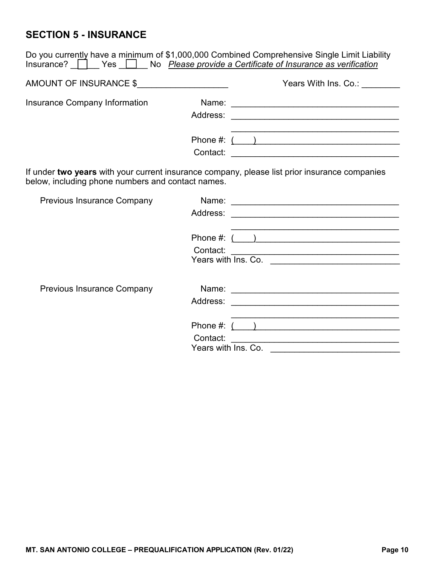# **SECTION 5 - INSURANCE**

|                                                   | Do you currently have a minimum of \$1,000,000 Combined Comprehensive Single Limit Liability<br>Insurance? Yes No Please provide a Certificate of Insurance as verification |
|---------------------------------------------------|-----------------------------------------------------------------------------------------------------------------------------------------------------------------------------|
| AMOUNT OF INSURANCE \$                            | Years With Ins. Co.:                                                                                                                                                        |
| Insurance Company Information                     |                                                                                                                                                                             |
|                                                   | <u> 1989 - Johann John Stoff, mars and de British and de British and de British and de British and de British an</u>                                                        |
| below, including phone numbers and contact names. | If under two years with your current insurance company, please list prior insurance companies                                                                               |
| <b>Previous Insurance Company</b>                 | Address:<br>the control of the control of the control of the control of the control of the control of the control of                                                        |
|                                                   | Phone #: ( )                                                                                                                                                                |
|                                                   | Contact:                                                                                                                                                                    |
| <b>Previous Insurance Company</b>                 |                                                                                                                                                                             |
|                                                   | Phone #: $($ )                                                                                                                                                              |
|                                                   | Contact:<br><u> 1989 - Johann John Stone, markin film yn y brenin y brenin y brenin y brenin y brenin y brenin y brenin y br</u><br>Years with Ins. Co.                     |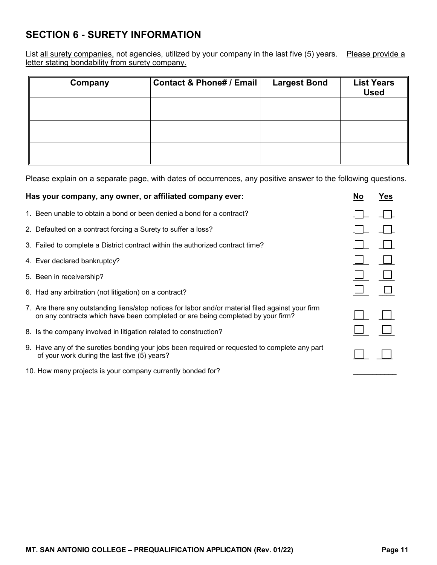## **SECTION 6 - SURETY INFORMATION**

List <u>all surety companies,</u> not agencies, utilized by your company in the last five (5) years. Please provide a letter stating bondability from surety company.

| Company | Contact & Phone# / Email | <b>Largest Bond</b> | <b>List Years</b><br><b>Used</b> |
|---------|--------------------------|---------------------|----------------------------------|
|         |                          |                     |                                  |
|         |                          |                     |                                  |
|         |                          |                     |                                  |

Please explain on a separate page, with dates of occurrences, any positive answer to the following questions.

| Has your company, any owner, or affiliated company ever:                                                                                                                             | <b>No</b> | Yes |
|--------------------------------------------------------------------------------------------------------------------------------------------------------------------------------------|-----------|-----|
| 1. Been unable to obtain a bond or been denied a bond for a contract?                                                                                                                |           |     |
| 2. Defaulted on a contract forcing a Surety to suffer a loss?                                                                                                                        |           |     |
| 3. Failed to complete a District contract within the authorized contract time?                                                                                                       |           |     |
| 4. Ever declared bankruptcy?                                                                                                                                                         |           |     |
| 5. Been in receivership?                                                                                                                                                             |           |     |
| 6. Had any arbitration (not litigation) on a contract?                                                                                                                               |           |     |
| 7. Are there any outstanding liens/stop notices for labor and/or material filed against your firm<br>on any contracts which have been completed or are being completed by your firm? |           |     |
| 8. Is the company involved in litigation related to construction?                                                                                                                    |           |     |
| 9. Have any of the sureties bonding your jobs been required or requested to complete any part<br>of your work during the last five (5) years?                                        |           |     |
|                                                                                                                                                                                      |           |     |

10. How many projects is your company currently bonded for?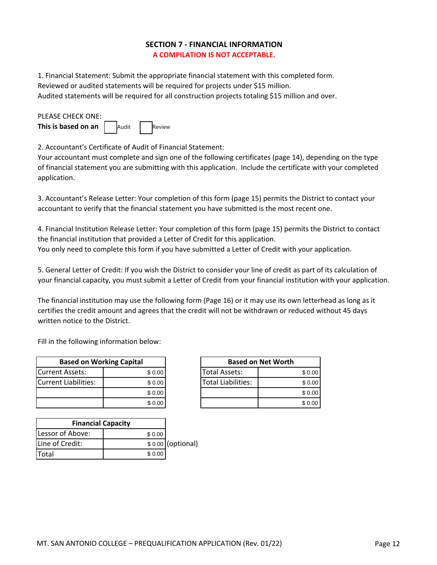#### **SECTION 7 ‐ FINANCIAL INFORMATION A COMPILATION IS NOT ACCEPTABLE.**

1. Financial Statement: Submit the appropriate financial statement with this completed form. Reviewed or audited statements will be required for projects under \$15 million. Audited statements will be required for all construction projects totaling \$15 million and over.

| PLEASE CHECK ONE:   |       |        |
|---------------------|-------|--------|
| This is based on an | Audit | Review |

2. Accountant's Certificate of Audit of Financial Statement:

Your accountant must complete and sign one of the following certificates (page 14), depending on the type of financial statement you are submitting with this application. Include the certificate with your completed application.

3. Accountant's Release Letter: Your completion of this form (page 15) permits the District to contact your accountant to verify that the financial statement you have submitted is the most recent one.

4. Financial Institution Release Letter: Your completion of this form (page 15) permits the District to contact the financial institution that provided a Letter of Credit for this application. You only need to complete this form if you have submitted a Letter of Credit with your application.

5. General Letter of Credit: If you wish the District to consider your line of credit as part of its calculation of your financial capacity, you must submit a Letter of Credit from your financial institution with your application.

The financial institution may use the following form (Page 16) or it may use its own letterhead as long as it certifies the credit amount and agrees that the credit will not be withdrawn or reduced without 45 days written notice to the District.

Fill in the following information below:

| <b>Based on Working Capital</b> |        |
|---------------------------------|--------|
| <b>ICurrent Assets:</b>         | \$0.00 |
| Current Liabilities:            | \$0.00 |
|                                 | \$0.00 |
|                                 | \$0.00 |

| <b>Financial Capacity</b> |        |                   |
|---------------------------|--------|-------------------|
| Lessor of Above:          | \$0.00 |                   |
| Line of Credit:           |        | \$0.00 (optional) |
| ITotal                    | \$0.00 |                   |

|         | <b>Based on Net Worth</b> |        |
|---------|---------------------------|--------|
| \$ 0.00 | <b>Total Assets:</b>      | \$0.00 |
| \$0.00  | <b>Total Liabilities:</b> | \$0.00 |
| \$ 0.00 |                           | \$0.00 |
| \$0.00  |                           | \$0.00 |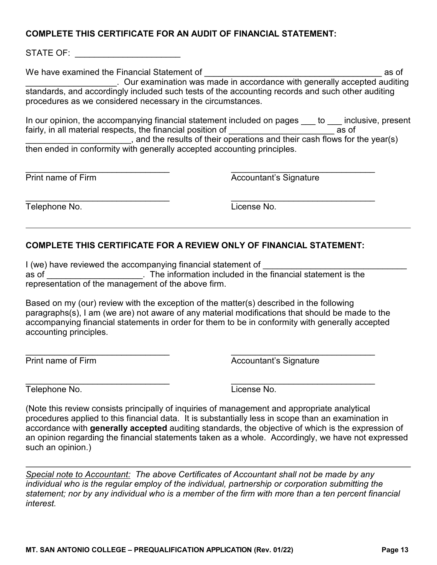#### **COMPLETE THIS CERTIFICATE FOR AN AUDIT OF FINANCIAL STATEMENT:**

STATE OF: **Example 20** 

We have examined the Financial Statement of **Example 20** as of \_\_\_\_\_\_\_\_\_\_\_\_\_\_\_\_\_\_\_. Our examination was made in accordance with generally accepted auditing standards, and accordingly included such tests of the accounting records and such other auditing procedures as we considered necessary in the circumstances.

In our opinion, the accompanying financial statement included on pages to inclusive, present fairly, in all material respects, the financial position of **Example 2** as of  $\frac{1}{2}$ , and the results of their operations and their cash flows for the year(s) then ended in conformity with generally accepted accounting principles.

\_\_\_\_\_\_\_\_\_\_\_\_\_\_\_\_\_\_\_\_\_\_\_\_\_\_\_\_\_\_ \_\_\_\_\_\_\_\_\_\_\_\_\_\_\_\_\_\_\_\_\_\_\_\_\_\_\_\_\_\_ Print name of Firm **Accountant's Signature** 

 Telephone No. License No. \_\_\_\_\_\_\_\_\_\_\_\_\_\_\_\_\_\_\_\_\_\_\_\_\_\_\_\_\_\_ \_\_\_\_\_\_\_\_\_\_\_\_\_\_\_\_\_\_\_\_\_\_\_\_\_\_\_\_\_\_

### **COMPLETE THIS CERTIFICATE FOR A REVIEW ONLY OF FINANCIAL STATEMENT:**

I (we) have reviewed the accompanying financial statement of as of \_\_\_\_\_\_\_\_\_\_\_\_\_\_\_\_\_\_\_\_. The information included in the financial statement is the representation of the management of the above firm.

Based on my (our) review with the exception of the matter(s) described in the following paragraphs(s), I am (we are) not aware of any material modifications that should be made to the accompanying financial statements in order for them to be in conformity with generally accepted accounting principles.

\_\_\_\_\_\_\_\_\_\_\_\_\_\_\_\_\_\_\_\_\_\_\_\_\_\_\_\_\_\_ \_\_\_\_\_\_\_\_\_\_\_\_\_\_\_\_\_\_\_\_\_\_\_\_\_\_\_\_\_\_

Print name of Firm **Accountant's Signature** Accountant's Signature

Telephone No. License No.

\_\_\_\_\_\_\_\_\_\_\_\_\_\_\_\_\_\_\_\_\_\_\_\_\_\_\_\_\_\_ \_\_\_\_\_\_\_\_\_\_\_\_\_\_\_\_\_\_\_\_\_\_\_\_\_\_\_\_\_\_

(Note this review consists principally of inquiries of management and appropriate analytical procedures applied to this financial data. It is substantially less in scope than an examination in accordance with **generally accepted** auditing standards, the objective of which is the expression of an opinion regarding the financial statements taken as a whole. Accordingly, we have not expressed such an opinion.)

 *Special note to Accountant: The above Certificates of Accountant shall not be made by any individual who is the regular employ of the individual, partnership or corporation submitting the statement; nor by any individual who is a member of the firm with more than a ten percent financial interest.*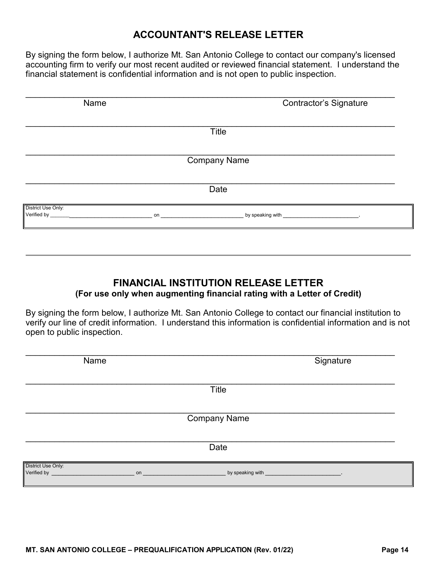### **ACCOUNTANT'S RELEASE LETTER**

By signing the form below, I authorize Mt. San Antonio College to contact our company's licensed accounting firm to verify our most recent audited or reviewed financial statement. I understand the financial statement is confidential information and is not open to public inspection.

| Name               | <b>Contractor's Signature</b> |
|--------------------|-------------------------------|
|                    | Title                         |
|                    |                               |
|                    | <b>Company Name</b>           |
|                    |                               |
|                    | Date                          |
| District Use Only: |                               |
|                    |                               |

### **FINANCIAL INSTITUTION RELEASE LETTER (For use only when augmenting financial rating with a Letter of Credit)**

By signing the form below, I authorize Mt. San Antonio College to contact our financial institution to verify our line of credit information. I understand this information is confidential information and is not open to public inspection.

| Name               | Signature                                                                                                                                                                                                                           |
|--------------------|-------------------------------------------------------------------------------------------------------------------------------------------------------------------------------------------------------------------------------------|
|                    | Title                                                                                                                                                                                                                               |
|                    | <b>Company Name</b>                                                                                                                                                                                                                 |
|                    | Date                                                                                                                                                                                                                                |
| District Use Only: | Verified by <b>No. 2008</b> Contract the Contract of Contract of Contract of Contract of Contract of Contract of Contract of Contract of Contract of Contract of Contract of Contract of Contract of Contract of Contract of Contra |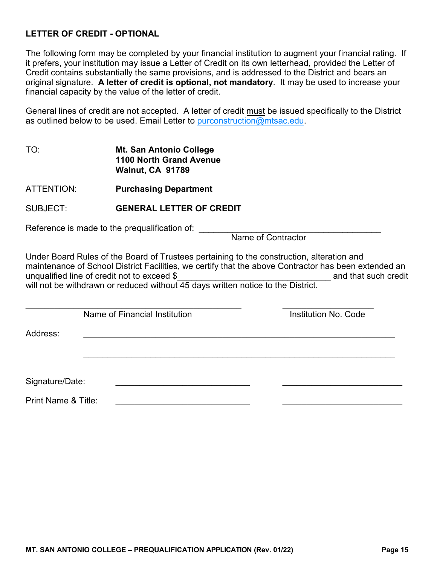#### **LETTER OF CREDIT - OPTIONAL**

 The following form may be completed by your financial institution to augment your financial rating. If original signature. **A letter of credit is optional, not mandatory**. It may be used to increase your it prefers, your institution may issue a Letter of Credit on its own letterhead, provided the Letter of Credit contains substantially the same provisions, and is addressed to the District and bears an financial capacity by the value of the letter of credit.

General lines of credit are not accepted. A letter of credit <u>must</u> be issued specifically to the District as outlined below to be used. Email Letter to purconstruction[@mtsac.edu.](mailto:purconstruction@mtsac.edu)

TO: **Mt. San Antonio College 1100 North Grand Avenue Walnut, CA 91789**

ATTENTION: **Purchasing Department**

#### SUBJECT: **GENERAL LETTER OF CREDIT**

Reference is made to the prequalification of: \_\_\_\_\_\_\_\_\_\_\_\_\_\_\_\_\_\_\_\_\_\_\_\_\_\_\_\_\_\_\_\_\_\_

Name of Contractor

Under Board Rules of the Board of Trustees pertaining to the construction, alteration and maintenance of School District Facilities, we certify that the above Contractor has been extended an unqualified line of credit not to exceed \$ unqualified line of credit not to exceed \$ will not be withdrawn or reduced without 45 days written notice to the District.

\_\_\_\_\_\_\_\_\_\_\_\_\_\_\_\_\_\_\_\_\_\_\_\_\_\_\_\_\_\_\_\_\_\_\_\_\_\_\_\_\_\_\_\_\_\_\_\_\_\_\_\_\_\_\_\_\_\_\_\_\_\_\_\_\_

 $\overline{\phantom{a}}$  , and the contribution of the contribution of the contribution of the contribution of the contribution of the contribution of the contribution of the contribution of the contribution of the contribution of the Name of Financial Institution **Institution Institution No. Code** 

Address: \_\_\_\_\_\_\_\_\_\_\_\_\_\_\_\_\_\_\_\_\_\_\_\_\_\_\_\_\_\_\_\_\_\_\_\_\_\_\_\_\_\_\_\_\_\_\_\_\_\_\_\_\_\_\_\_\_\_\_\_\_\_\_\_\_

Signature/Date:

Print Name & Title: